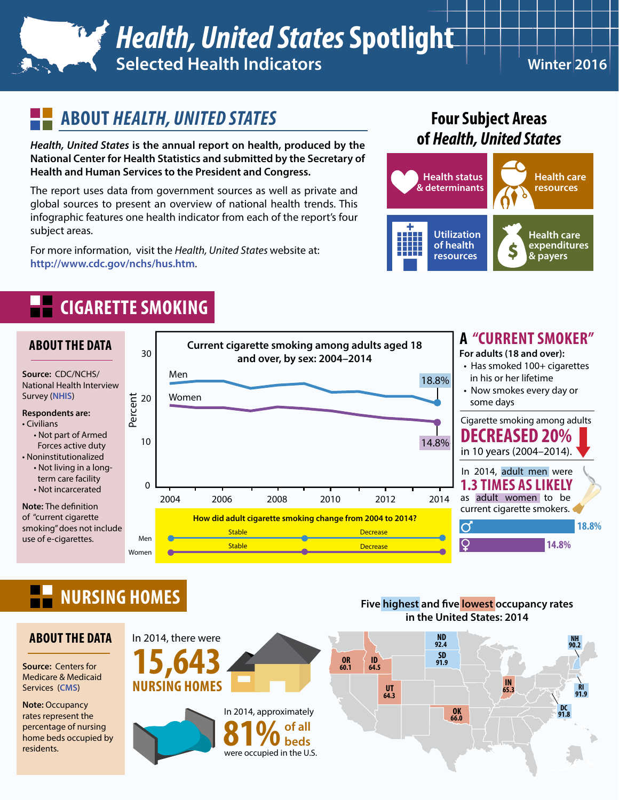## *Health, United States* **Spotlight Selected Health Indicators Winter 2016**

## **ABOUT** *HEALTH, UNITED STATES*

*Health, United States* **is the annual report on health, produced by the National Center for Health Statistics and submitted by the Secretary of Health and Human Services to the President and Congress.** 

The report uses data from government sources as well as private and global sources to present an overview of national health trends. This infographic features one health indicator from each of the report's four subject areas.

For more information, visit the *Health, United States* website at: **<http://www.cdc.gov/nchs/hus.htm>**.

### **Four Subject Areas of** *Health, United States*



# **CIGARETTE SMOKING**



# **NURSING HOMES**

#### **ABOUT THE DATA**

**Source:** Centers for Medicare & Medicaid Services (**[CMS](http://www.cms.gov)**)

**Note: Occupancy** rates represent the percentage of nursing home beds occupied by residents.



**Five highest and five lowest occupancy rates** in the United States: 2014